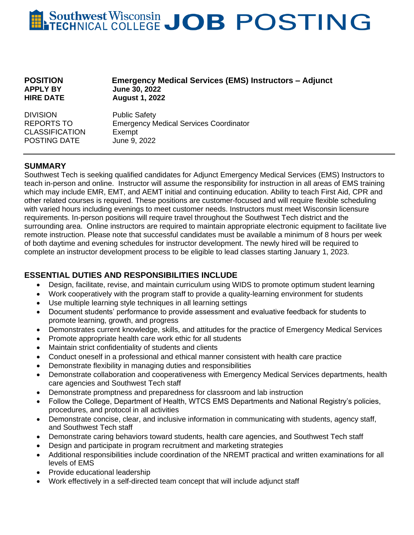# **Southwest Wisconsin JOB POSTING**

| <b>POSITION</b>  | <b>Emergency Medical Services (EMS) Instructors - Adjunct</b> |
|------------------|---------------------------------------------------------------|
| <b>APPLY BY</b>  | June 30, 2022                                                 |
| <b>HIRE DATE</b> | <b>August 1, 2022</b>                                         |
| <b>DIVISION</b>  | <b>Public Safety</b>                                          |
| REPORTS TO       | Emergency Medical Services Coordinator                        |

CLASSIFICATION Exempt POSTING DATE June 9, 2022

**SUMMARY** Southwest Tech is seeking qualified candidates for Adjunct Emergency Medical Services (EMS) Instructors to teach in-person and online. Instructor will assume the responsibility for instruction in all areas of EMS training which may include EMR, EMT, and AEMT initial and continuing education. Ability to teach First Aid, CPR and other related courses is required. These positions are customer-focused and will require flexible scheduling with varied hours including evenings to meet customer needs. Instructors must meet Wisconsin licensure requirements. In-person positions will require travel throughout the Southwest Tech district and the surrounding area. Online instructors are required to maintain appropriate electronic equipment to facilitate live remote instruction. Please note that successful candidates must be available a minimum of 8 hours per week of both daytime and evening schedules for instructor development. The newly hired will be required to complete an instructor development process to be eligible to lead classes starting January 1, 2023.

## **ESSENTIAL DUTIES AND RESPONSIBILITIES INCLUDE**

- Design, facilitate, revise, and maintain curriculum using WIDS to promote optimum student learning
- Work cooperatively with the program staff to provide a quality-learning environment for students
- Use multiple learning style techniques in all learning settings
- Document students' performance to provide assessment and evaluative feedback for students to promote learning, growth, and progress
- Demonstrates current knowledge, skills, and attitudes for the practice of Emergency Medical Services
- Promote appropriate health care work ethic for all students
- Maintain strict confidentiality of students and clients
- Conduct oneself in a professional and ethical manner consistent with health care practice
- Demonstrate flexibility in managing duties and responsibilities
- Demonstrate collaboration and cooperativeness with Emergency Medical Services departments, health care agencies and Southwest Tech staff
- Demonstrate promptness and preparedness for classroom and lab instruction
- Follow the College, Department of Health, WTCS EMS Departments and National Registry's policies, procedures, and protocol in all activities
- Demonstrate concise, clear, and inclusive information in communicating with students, agency staff, and Southwest Tech staff
- Demonstrate caring behaviors toward students, health care agencies, and Southwest Tech staff
- Design and participate in program recruitment and marketing strategies
- Additional responsibilities include coordination of the NREMT practical and written examinations for all levels of EMS
- Provide educational leadership
- Work effectively in a self-directed team concept that will include adjunct staff